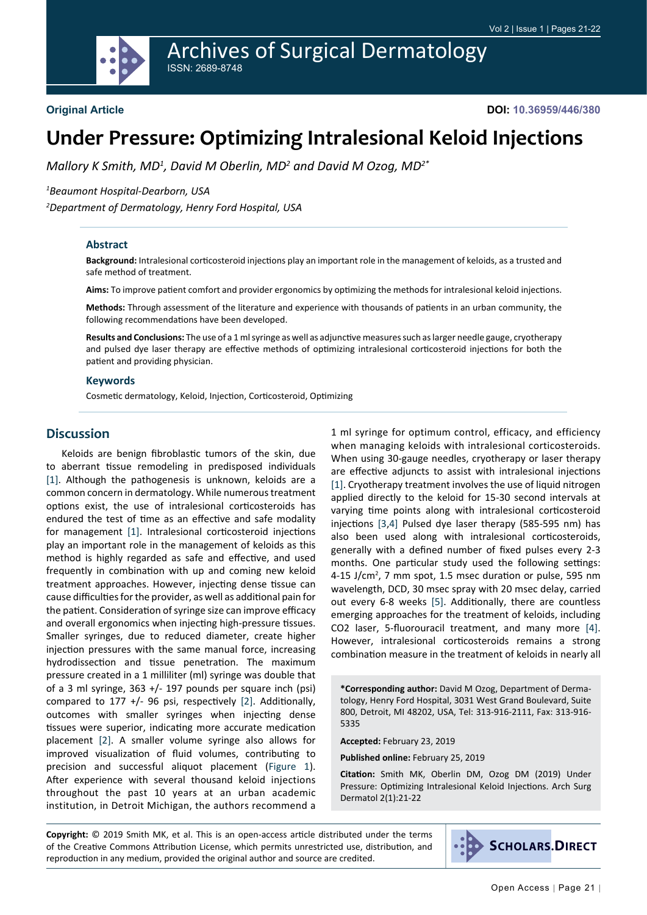

**DOI: 10.36959/446/380**

# **Under Pressure: Optimizing Intralesional Keloid Injections**

 $M$ allory K Smith, MD<sup>1</sup>, David M Oberlin, MD<sup>2</sup> and David M Ozog, MD<sup>2\*</sup>

*1 Beaumont Hospital-Dearborn, USA*

*2 Department of Dermatology, Henry Ford Hospital, USA*

#### **Abstract**

**Background:** Intralesional corticosteroid injections play an important role in the management of keloids, as a trusted and safe method of treatment.

**Aims:** To improve patient comfort and provider ergonomics by optimizing the methods for intralesional keloid injections.

**Methods:** Through assessment of the literature and experience with thousands of patients in an urban community, the following recommendations have been developed.

**Results and Conclusions:** The use of a 1 ml syringe as well as adjunctive measures such as larger needle gauge, cryotherapy and pulsed dye laser therapy are effective methods of optimizing intralesional corticosteroid injections for both the patient and providing physician.

#### **Keywords**

Cosmetic dermatology, Keloid, Injection, Corticosteroid, Optimizing

#### **Discussion**

Keloids are benign fibroblastic tumors of the skin, due to aberrant tissue remodeling in predisposed individuals [[1\]](#page-1-0). Although the pathogenesis is unknown, keloids are a common concern in dermatology. While numerous treatment options exist, the use of intralesional corticosteroids has endured the test of time as an effective and safe modality for management [\[1](#page-1-0)]. Intralesional corticosteroid injections play an important role in the management of keloids as this method is highly regarded as safe and effective, and used frequently in combination with up and coming new keloid treatment approaches. However, injecting dense tissue can cause difficulties for the provider, as well as additional pain for the patient. Consideration of syringe size can improve efficacy and overall ergonomics when injecting high-pressure tissues. Smaller syringes, due to reduced diameter, create higher injection pressures with the same manual force, increasing hydrodissection and tissue penetration. The maximum pressure created in a 1 milliliter (ml) syringe was double that of a 3 ml syringe, 363 +/- 197 pounds per square inch (psi) compared to 177 +/- 96 psi, respectively [[2\]](#page-1-1). Additionally, outcomes with smaller syringes when injecting dense tissues were superior, indicating more accurate medication placement [\[2](#page-1-1)]. A smaller volume syringe also allows for improved visualization of fluid volumes, contributing to precision and successful aliquot placement [\(Figure 1\)](#page-1-2). After experience with several thousand keloid injections throughout the past 10 years at an urban academic institution, in Detroit Michigan, the authors recommend a

1 ml syringe for optimum control, efficacy, and efficiency when managing keloids with intralesional corticosteroids. When using 30-gauge needles, cryotherapy or laser therapy are effective adjuncts to assist with intralesional injections [[1\]](#page-1-0). Cryotherapy treatment involves the use of liquid nitrogen applied directly to the keloid for 15-30 second intervals at varying time points along with intralesional corticosteroid injections [[3](#page-1-3)[,4](#page-1-4)] Pulsed dye laser therapy (585-595 nm) has also been used along with intralesional corticosteroids, generally with a defined number of fixed pulses every 2-3 months. One particular study used the following settings: 4-15 J/cm<sup>2</sup>, 7 mm spot, 1.5 msec duration or pulse, 595 nm wavelength, DCD, 30 msec spray with 20 msec delay, carried out every 6-8 weeks [\[5](#page-1-5)]. Additionally, there are countless emerging approaches for the treatment of keloids, including CO2 laser, 5-fluorouracil treatment, and many more [\[4](#page-1-4)]. However, intralesional corticosteroids remains a strong combination measure in the treatment of keloids in nearly all

**Accepted:** February 23, 2019

**Published online:** February 25, 2019

**Citation:** Smith MK, Oberlin DM, Ozog DM (2019) Under Pressure: Optimizing Intralesional Keloid Injections. Arch Surg Dermatol 2(1):21-22

**Copyright:** © 2019 Smith MK, et al. This is an open-access article distributed under the terms of the Creative Commons Attribution License, which permits unrestricted use, distribution, and reproduction in any medium, provided the original author and source are credited.



**<sup>\*</sup>Corresponding author:** David M Ozog, Department of Dermatology, Henry Ford Hospital, 3031 West Grand Boulevard, Suite 800, Detroit, MI 48202, USA, Tel: 313-916-2111, Fax: 313-916- 5335